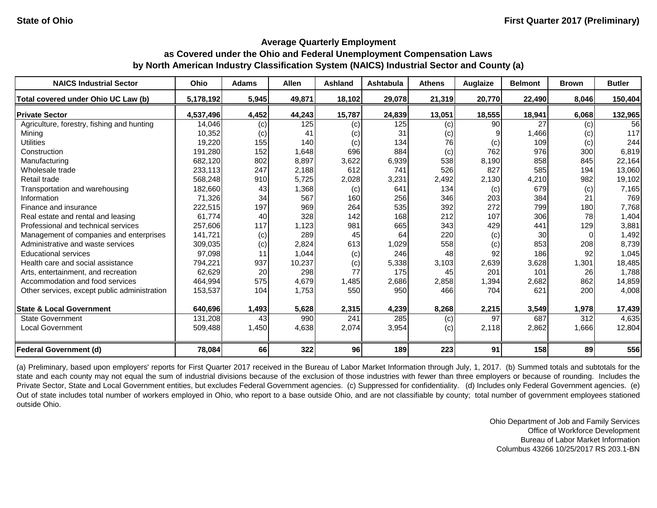#### **Average Quarterly Employment**

# **as Covered under the Ohio and Federal Unemployment Compensation Laws by North American Industry Classification System (NAICS) Industrial Sector and County (a)**

| <b>NAICS Industrial Sector</b>               | <b>Ohio</b> | <b>Adams</b> | <b>Allen</b> | <b>Ashland</b> | <b>Ashtabula</b> | <b>Athens</b> | Auglaize | <b>Belmont</b> | <b>Brown</b> | <b>Butler</b> |
|----------------------------------------------|-------------|--------------|--------------|----------------|------------------|---------------|----------|----------------|--------------|---------------|
| Total covered under Ohio UC Law (b)          | 5,178,192   | 5,945        | 49,871       | 18,102         | 29,078           | 21,319        | 20,770   | 22,490         | 8,046        | 150,404       |
| <b>Private Sector</b>                        | 4,537,496   | 4,452        | 44,243       | 15,787         | 24,839           | 13,051        | 18,555   | 18,941         | 6,068        | 132,965       |
| Agriculture, forestry, fishing and hunting   | 14,046      | (c)          | 125          | (c)            | 125              | (c)           | 90       | 27             | (c)          | 56            |
| Mining                                       | 10,352      | (c)          | 41           | (c)            | 31               | (c)           |          | 1,466          | (c)          | 117           |
| <b>Utilities</b>                             | 19,220      | 155          | 140          | (c)            | 134              | 76            | (c)      | 109            | (c)          | 244           |
| Construction                                 | 191,280     | 152          | 1,648        | 696            | 884              | (c)           | 762      | 976            | 300          | 6,819         |
| Manufacturing                                | 682,120     | 802          | 8,897        | 3,622          | 6,939            | 538           | 8,190    | 858            | 845          | 22,164        |
| Wholesale trade                              | 233,113     | 247          | 2,188        | 612            | 741              | 526           | 827      | 585            | 194          | 13,060        |
| Retail trade                                 | 568,248     | 910          | 5,725        | 2,028          | 3,231            | 2,492         | 2,130    | 4,210          | 982          | 19,102        |
| Transportation and warehousing               | 182,660     | 43           | 1,368        | (c)            | 641              | 134           | (c)      | 679            | (c)          | 7,165         |
| Information                                  | 71,326      | 34           | 567          | 160            | 256              | 346           | 203      | 384            | 21           | 769           |
| Finance and insurance                        | 222,515     | 197          | 969          | 264            | 535              | 392           | 272      | 799            | 180          | 7,768         |
| Real estate and rental and leasing           | 61,774      | 40           | 328          | 142            | 168              | 212           | 107      | 306            | 78           | 1,404         |
| Professional and technical services          | 257,606     | 117          | 1,123        | 981            | 665              | 343           | 429      | 441            | 129          | 3,881         |
| Management of companies and enterprises      | 141,721     | (c)          | 289          | 45             | 64               | 220           | (c)      | 30             |              | 1,492         |
| Administrative and waste services            | 309,035     | (c)          | 2,824        | 613            | 1,029            | 558           | (c)      | 853            | 208          | 8,739         |
| <b>Educational services</b>                  | 97,098      | 11           | 1,044        | (c)            | 246              | 48            | 92       | 186            | 92           | 1,045         |
| Health care and social assistance            | 794,221     | 937          | 10,237       | (c)            | 5,338            | 3,103         | 2,639    | 3,628          | 1,301        | 18,485        |
| Arts, entertainment, and recreation          | 62,629      | 20           | 298          | 77             | 175              | 45            | 201      | 101            | 26           | 1,788         |
| Accommodation and food services              | 464,994     | 575          | 4,679        | 1,485          | 2,686            | 2,858         | 1,394    | 2,682          | 862          | 14,859        |
| Other services, except public administration | 153,537     | 104          | 1,753        | 550            | 950              | 466           | 704      | 621            | 200          | 4,008         |
| <b>State &amp; Local Government</b>          | 640,696     | 1,493        | 5,628        | 2,315          | 4,239            | 8,268         | 2,215    | 3,549          | 1,978        | 17,439        |
| <b>State Government</b>                      | 131,208     | 43           | 990          | 241            | 285              | (c)           | 97       | 687            | 312          | 4,635         |
| <b>Local Government</b>                      | 509,488     | 1,450        | 4,638        | 2,074          | 3,954            | (c)           | 2,118    | 2,862          | 1,666        | 12,804        |
| <b>Federal Government (d)</b>                | 78,084      | 66           | 322          | 96             | 189              | 223           | 91       | 158            | 89           | 556           |

(a) Preliminary, based upon employers' reports for First Quarter 2017 received in the Bureau of Labor Market Information through July, 1, 2017. (b) Summed totals and subtotals for the state and each county may not equal the sum of industrial divisions because of the exclusion of those industries with fewer than three employers or because of rounding. Includes the Private Sector, State and Local Government entities, but excludes Federal Government agencies. (c) Suppressed for confidentiality. (d) Includes only Federal Government agencies. (e) Out of state includes total number of workers employed in Ohio, who report to a base outside Ohio, and are not classifiable by county; total number of government employees stationed outside Ohio.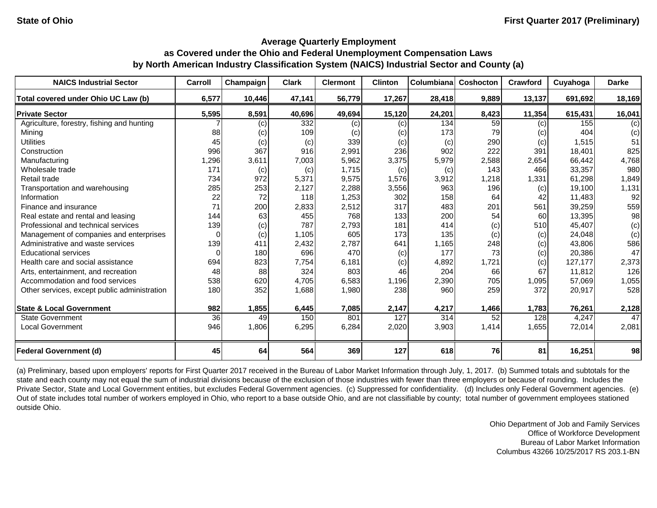| <b>NAICS Industrial Sector</b>               | Carroll  | Champaign | <b>Clark</b> | <b>Clermont</b> | <b>Clinton</b> | Columbiana | Coshocton | Crawford | Cuyahoga | <b>Darke</b> |
|----------------------------------------------|----------|-----------|--------------|-----------------|----------------|------------|-----------|----------|----------|--------------|
| Total covered under Ohio UC Law (b)          | 6,577    | 10,446    | 47,141       | 56,779          | 17,267         | 28,418     | 9,889     | 13,137   | 691,692  | 18,169       |
| <b>Private Sector</b>                        | 5,595    | 8,591     | 40,696       | 49,694          | 15,120         | 24,201     | 8,423     | 11,354   | 615,431  | 16,041       |
| Agriculture, forestry, fishing and hunting   |          | (c)       | 332          | (c)             | (c)            | 134        | 59        | (c)      | 155      | (c)          |
| Mining                                       | 88       | $\left( $ | 109          | (c)             | (c)            | 173        | 79        | (c)      | 404      | (c)          |
| <b>Utilities</b>                             | 45       | (c)       | (c)          | 339             | (c)            | (c)        | 290       | (c)      | 1,515    | 51           |
| Construction                                 | 996      | 367       | 916          | 2,991           | 236            | 902        | 222       | 391      | 18,401   | 825          |
| Manufacturing                                | 1,296    | 3,611     | 7,003        | 5,962           | 3,375          | 5,979      | 2,588     | 2,654    | 66,442   | 4,768        |
| Wholesale trade                              | 171      | (c)       | (c)          | 1,715           | (c)            | (c)        | 143       | 466      | 33,357   | 980          |
| Retail trade                                 | 734      | 972       | 5,371        | 9,575           | 1,576          | 3,912      | .218      | 1,331    | 61,298   | 1,849        |
| Transportation and warehousing               | 285      | 253       | 2,127        | 2,288           | 3,556          | 963        | 196       | (c)      | 19,100   | 1,131        |
| Information                                  | 22       | 72        | 118          | 1,253           | 302            | 158        | 64        | 42       | 11,483   | 92           |
| Finance and insurance                        | 71       | 200       | 2,833        | 2,512           | 317            | 483        | 201       | 561      | 39,259   | 559          |
| Real estate and rental and leasing           | 144      | 63        | 455          | 768             | 133            | 200        | 54        | 60       | 13,395   | 98           |
| Professional and technical services          | 139      | (c)       | 787          | 2,793           | 181            | 414        | (c)       | 510      | 45,407   | (c)          |
| Management of companies and enterprises      |          | (c)       | 1,105        | 605             | 173            | 135        | (c)       | (c)      | 24,048   | (c)          |
| Administrative and waste services            | 139      | 411       | 2,432        | 2,787           | 641            | 1,165      | 248       | (c)      | 43,806   | 586          |
| <b>Educational services</b>                  | $\Omega$ | 180       | 696          | 470             | (c)            | 177        | 73        | (c)      | 20,386   | 47           |
| Health care and social assistance            | 694      | 823       | 7,754        | 6,181           | (c)            | 4,892      | 1,721     | (c)      | 127,177  | 2,373        |
| Arts, entertainment, and recreation          | 48       | 88        | 324          | 803             | 46             | 204        | 66        | 67       | 11,812   | 126          |
| Accommodation and food services              | 538      | 620       | 4,705        | 6,583           | 1,196          | 2,390      | 705       | 1,095    | 57,069   | 1,055        |
| Other services, except public administration | 180      | 352       | 1,688        | 1,980           | 238            | 960        | 259       | 372      | 20,917   | 528          |
| <b>State &amp; Local Government</b>          | 982      | 1,855     | 6,445        | 7,085           | 2,147          | 4,217      | 1,466     | 1,783    | 76,261   | 2,128        |
| <b>State Government</b>                      | 36       | 49        | 150          | 801             | 127            | 314        | 52        | 128      | 4,247    | 47           |
| <b>Local Government</b>                      | 946      | 1,806     | 6,295        | 6,284           | 2,020          | 3,903      | 1,414     | 1,655    | 72,014   | 2,081        |
| <b>Federal Government (d)</b>                | 45       | 64        | 564          | 369             | 127            | 618        | 76        | 81       | 16,251   | 98           |

(a) Preliminary, based upon employers' reports for First Quarter 2017 received in the Bureau of Labor Market Information through July, 1, 2017. (b) Summed totals and subtotals for the state and each county may not equal the sum of industrial divisions because of the exclusion of those industries with fewer than three employers or because of rounding. Includes the Private Sector, State and Local Government entities, but excludes Federal Government agencies. (c) Suppressed for confidentiality. (d) Includes only Federal Government agencies. (e) Out of state includes total number of workers employed in Ohio, who report to a base outside Ohio, and are not classifiable by county; total number of government employees stationed outside Ohio.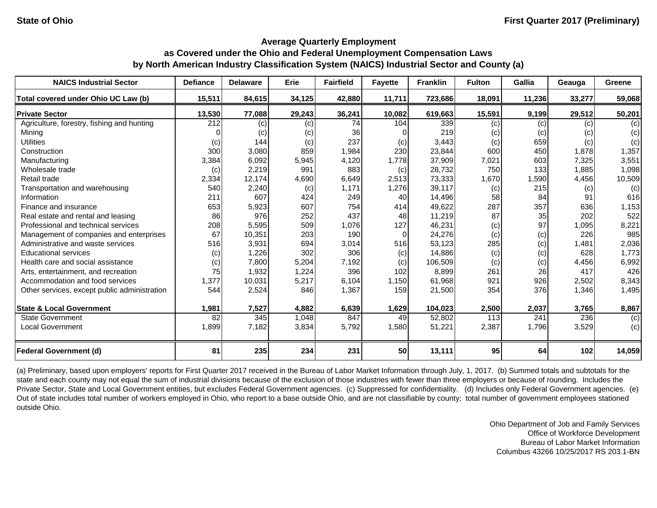| <b>NAICS Industrial Sector</b>               | <b>Defiance</b> | <b>Delaware</b> | <b>Erie</b> | <b>Fairfield</b> | <b>Fayette</b> | <b>Franklin</b> | <b>Fulton</b> | Gallia | Geauga | Greene |
|----------------------------------------------|-----------------|-----------------|-------------|------------------|----------------|-----------------|---------------|--------|--------|--------|
| Total covered under Ohio UC Law (b)          | 15,511          | 84,615          | 34,125      | 42,880           | 11,711         | 723,686         | 18,091        | 11,236 | 33,277 | 59,068 |
| <b>Private Sector</b>                        | 13,530          | 77,088          | 29,243      | 36,241           | 10,082         | 619,663         | 15,591        | 9,199  | 29,512 | 50,201 |
| Agriculture, forestry, fishing and hunting   | 212             | (c)             | (c)         | 74               | 104            | 339             | (c)           | (c)    | (c)    | (c)    |
| Mining                                       |                 | (c)             | (c)         | 36               |                | 219             | (c)           | (c)    | (c)    | (c)    |
| <b>Utilities</b>                             | (c)             | 144             | (c)         | 237              | (c)            | 3,443           | (c)           | 659    | (c)    | (c)    |
| Construction                                 | 300             | 3,080           | 859         | 1,984            | 230            | 23,844          | 600           | 450    | 1,878  | 1,357  |
| Manufacturing                                | 3,384           | 6,092           | 5,945       | 4,120            | 1,778          | 37,909          | 7,021         | 603    | 7,325  | 3,551  |
| Wholesale trade                              | (c)             | 2,219           | 991         | 883              | (c)            | 28,732          | 750           | 133    | 1,885  | 1,098  |
| Retail trade                                 | 2,334           | 12,174          | 4,690       | 6,649            | 2,513          | 73,333          | 1,670         | 1,590  | 4,456  | 10,509 |
| Transportation and warehousing               | 540             | 2,240           | (c)         | 1,171            | 1,276          | 39,117          | (c)           | 215    | (c)    | (c)    |
| Information                                  | 211             | 607             | 424         | 249              | 40             | 14,496          | 58            | 84     | 91     | 616    |
| Finance and insurance                        | 653             | 5,923           | 607         | 754              | 414            | 49,622          | 287           | 357    | 636    | 1,153  |
| Real estate and rental and leasing           | 86              | 976             | 252         | 437              | 48             | 11,219          | 87            | 35     | 202    | 522    |
| Professional and technical services          | 208             | 5,595           | 509         | 1,076            | 127            | 46,231          | (c)           | 97     | 1,095  | 8,221  |
| Management of companies and enterprises      | 67              | 10,351          | 203         | 190              | 0              | 24,276          | (c)           | (c)    | 226    | 985    |
| Administrative and waste services            | 516             | 3,931           | 694         | 3,014            | 516            | 53,123          | 285           | (c)    | 1,481  | 2,036  |
| <b>Educational services</b>                  | (c)             | 1,226           | 302         | 306              | (c)            | 14,886          | (c)           | (c)    | 628    | 1,773  |
| Health care and social assistance            | (c)             | 7,800           | 5,204       | 7,192            | (c)            | 106,509         | (c)           | (c)    | 4,456  | 6,992  |
| Arts, entertainment, and recreation          | 75              | 1,932           | 1,224       | 396              | 102            | 8,899           | 261           | 26     | 417    | 426    |
| Accommodation and food services              | 1,377           | 10,031          | 5,217       | 6,104            | 1,150          | 61,968          | 921           | 926    | 2,502  | 8,343  |
| Other services, except public administration | 544             | 2,524           | 846         | 1,367            | 159            | 21,500          | 354           | 376    | 1,346  | 1,495  |
| <b>State &amp; Local Government</b>          | 1,981           | 7,527           | 4,882       | 6,639            | 1,629          | 104,023         | 2,500         | 2,037  | 3,765  | 8,867  |
| <b>State Government</b>                      | 82              | 345             | 1,048       | 847              | 49             | 52,802          | 113           | 241    | 236    | (c)    |
| <b>Local Government</b>                      | 1,899           | 7,182           | 3,834       | 5,792            | 1,580          | 51,221          | 2,387         | 1,796  | 3,529  | (c)    |
| <b>Federal Government (d)</b>                | 81              | 235             | 234         | 231              | 50             | 13,111          | 95            | 64     | 102    | 14,059 |

(a) Preliminary, based upon employers' reports for First Quarter 2017 received in the Bureau of Labor Market Information through July, 1, 2017. (b) Summed totals and subtotals for the state and each county may not equal the sum of industrial divisions because of the exclusion of those industries with fewer than three employers or because of rounding. Includes the Private Sector, State and Local Government entities, but excludes Federal Government agencies. (c) Suppressed for confidentiality. (d) Includes only Federal Government agencies. (e) Out of state includes total number of workers employed in Ohio, who report to a base outside Ohio, and are not classifiable by county; total number of government employees stationed outside Ohio.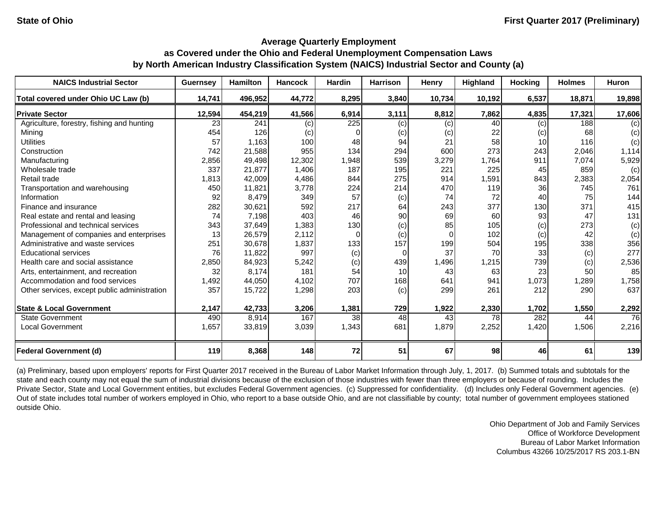| <b>NAICS Industrial Sector</b>               | <b>Guernsey</b> | <b>Hamilton</b> | <b>Hancock</b> | <b>Hardin</b>  | <b>Harrison</b> | Henry    | <b>Highland</b> | <b>Hocking</b>  | <b>Holmes</b> | Huron  |
|----------------------------------------------|-----------------|-----------------|----------------|----------------|-----------------|----------|-----------------|-----------------|---------------|--------|
| Total covered under Ohio UC Law (b)          | 14,741          | 496,952         | 44,772         | 8,295          | 3,840           | 10,734   | 10,192          | 6,537           | 18,871        | 19,898 |
| <b>Private Sector</b>                        | 12,594          | 454,219         | 41,566         | 6,914          | 3,111           | 8,812    | 7,862           | 4,835           | 17,321        | 17,606 |
| Agriculture, forestry, fishing and hunting   | 23              | 241             | (c)            | 225            | (c)             | (c)      | 40              | (c)             | 188           | (c)    |
| Mining                                       | 454             | 126             | (c)            | 0              | (c)             | (c)      | 22              | (c)             | 68            | (c)    |
| <b>Utilities</b>                             | 57              | 1,163           | 100            | 48             | 94              | 21       | 58              | 10 <sup>1</sup> | 116           | (c)    |
| Construction                                 | 742             | 21,588          | 955            | 134            | 294             | 600      | 273             | 243             | 2,046         | 1,114  |
| Manufacturing                                | 2,856           | 49,498          | 12,302         | 1,948          | 539             | 3,279    | 1,764           | 911             | 7,074         | 5,929  |
| Wholesale trade                              | 337             | 21,877          | 1,406          | 187            | 195             | 221      | 225             | 45              | 859           | (c)    |
| Retail trade                                 | 1,813           | 42,009          | 4,486          | 844            | 275             | 914      | 1,591           | 843             | 2,383         | 2,054  |
| Transportation and warehousing               | 450             | 11,821          | 3,778          | 224            | 214             | 470      | 119             | 36              | 745           | 761    |
| Information                                  | 92              | 8,479           | 349            | 57             | (c)             | 74       | 72              | 40              | 75            | 144    |
| Finance and insurance                        | 282             | 30,621          | 592            | 217            | 64              | 243      | 377             | 130             | 371           | 415    |
| Real estate and rental and leasing           | 74              | 7,198           | 403            | 46             | 90              | 69       | 60              | 93              | 47            | 131    |
| Professional and technical services          | 343             | 37,649          | 1,383          | 130            | (c)             | 85       | 105             | (c)             | 273           | (c)    |
| Management of companies and enterprises      | 13              | 26,579          | 2,112          | $\overline{O}$ | (c)             | $\Omega$ | 102             | (c)             | 42            | (c)    |
| Administrative and waste services            | 251             | 30,678          | 1,837          | 133            | 157             | 199      | 504             | 195             | 338           | 356    |
| <b>Educational services</b>                  | 76              | 11,822          | 997            | (c)            | 0               | 37       | 70              | 33              | (c)           | 277    |
| Health care and social assistance            | 2,850           | 84,923          | 5,242          | (c)            | 439             | 1,496    | 1,215           | 739             | (c)           | 2,536  |
| Arts, entertainment, and recreation          | 32              | 8,174           | 181            | 54             | 10              | 43       | 63              | 23              | 50            | 85     |
| Accommodation and food services              | 1,492           | 44,050          | 4,102          | 707            | 168             | 641      | 941             | 1,073           | 1,289         | 1,758  |
| Other services, except public administration | 357             | 15,722          | 1,298          | 203            | (c)             | 299      | 261             | 212             | 290           | 637    |
| <b>State &amp; Local Government</b>          | 2,147           | 42,733          | 3,206          | 1,381          | 729             | 1,922    | 2,330           | 1,702           | 1,550         | 2,292  |
| <b>State Government</b>                      | 490             | 8,914           | 167            | 38             | 48              | 43       | 78              | 282             | 44            | 76     |
| <b>Local Government</b>                      | 1,657           | 33,819          | 3,039          | 1,343          | 681             | 1,879    | 2,252           | 1,420           | 1,506         | 2,216  |
| <b>Federal Government (d)</b>                | 119             | 8,368           | 148            | 72             | 51              | 67       | 98              | 46              | 61            | 139    |

(a) Preliminary, based upon employers' reports for First Quarter 2017 received in the Bureau of Labor Market Information through July, 1, 2017. (b) Summed totals and subtotals for the state and each county may not equal the sum of industrial divisions because of the exclusion of those industries with fewer than three employers or because of rounding. Includes the Private Sector, State and Local Government entities, but excludes Federal Government agencies. (c) Suppressed for confidentiality. (d) Includes only Federal Government agencies. (e) Out of state includes total number of workers employed in Ohio, who report to a base outside Ohio, and are not classifiable by county; total number of government employees stationed outside Ohio.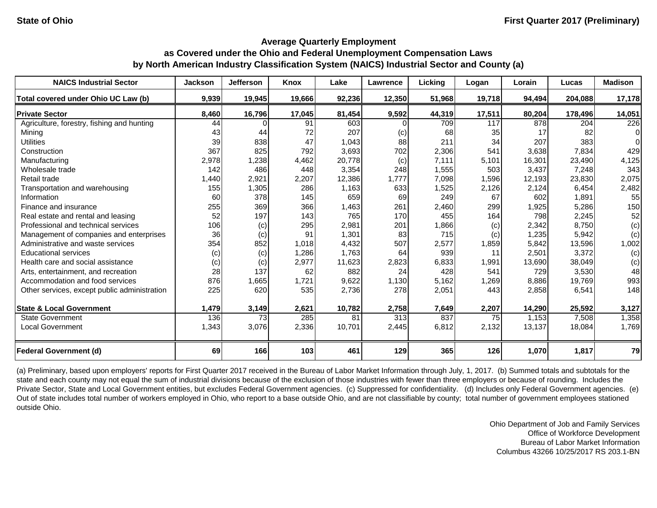| <b>NAICS Industrial Sector</b>               | <b>Jackson</b> | <b>Jefferson</b> | <b>Knox</b> | Lake   | Lawrence | <b>Licking</b> | Logan  | Lorain | Lucas   | <b>Madison</b> |
|----------------------------------------------|----------------|------------------|-------------|--------|----------|----------------|--------|--------|---------|----------------|
| Total covered under Ohio UC Law (b)          | 9,939          | 19,945           | 19,666      | 92,236 | 12,350   | 51,968         | 19,718 | 94,494 | 204,088 | 17,178         |
| <b>Private Sector</b>                        | 8,460          | 16,796           | 17,045      | 81,454 | 9,592    | 44,319         | 17,511 | 80,204 | 178,496 | 14,051         |
| Agriculture, forestry, fishing and hunting   | 44             |                  | 91          | 603    |          | 709            | 117    | 878    | 204     | 226            |
| Mining                                       | 43             | 44               | 72          | 207    | (c)      | 68             | 35     | 17     | 82      | $\Omega$       |
| <b>Utilities</b>                             | 39             | 838              | 47          | 1,043  | 88       | 211            | 34     | 207    | 383     | $\Omega$       |
| Construction                                 | 367            | 825              | 792         | 3,693  | 702      | 2,306          | 541    | 3,638  | 7,834   | 429            |
| Manufacturing                                | 2,978          | 1,238            | 4,462       | 20,778 | (c)      | 7,111          | 5,101  | 16,301 | 23,490  | 4,125          |
| Wholesale trade                              | 142            | 486              | 448         | 3,354  | 248      | 1,555          | 503    | 3,437  | 7,248   | 343            |
| Retail trade                                 | 1,440          | 2,921            | 2,207       | 12,386 | 1,777    | 7,098          | 1,596  | 12,193 | 23,830  | 2,075          |
| Transportation and warehousing               | 155            | 1,305            | 286         | 1,163  | 633      | 1,525          | 2,126  | 2,124  | 6,454   | 2,482          |
| Information                                  | 60             | 378              | 145         | 659    | 69       | 249            | 67     | 602    | 1,891   | 55             |
| Finance and insurance                        | 255            | 369              | 366         | 1,463  | 261      | 2,460          | 299    | 1,925  | 5,286   | 150            |
| Real estate and rental and leasing           | 52             | 197              | 143         | 765    | 170      | 455            | 164    | 798    | 2,245   | 52             |
| Professional and technical services          | 106            | (c)              | 295         | 2,981  | 201      | 1,866          | (c)    | 2,342  | 8,750   | (c)            |
| Management of companies and enterprises      | 36             | (c)              | 91          | 1,301  | 83       | 715            | (c)    | 1,235  | 5,942   | (c)            |
| Administrative and waste services            | 354            | 852              | 1,018       | 4,432  | 507      | 2,577          | 1,859  | 5,842  | 13,596  | 1,002          |
| <b>Educational services</b>                  | (c)            | (c)              | 1,286       | 1,763  | 64       | 939            | 11     | 2,501  | 3,372   | (c)            |
| Health care and social assistance            | (c)            | $\left( $        | 2,977       | 11,623 | 2,823    | 6,833          | 1,991  | 13,690 | 38,049  | (c)            |
| Arts, entertainment, and recreation          | 28             | 137              | 62          | 882    | 24       | 428            | 541    | 729    | 3,530   | 48             |
| Accommodation and food services              | 876            | 1,665            | 1,721       | 9,622  | 1,130    | 5,162          | 1,269  | 8,886  | 19,769  | 993            |
| Other services, except public administration | 225            | 620              | 535         | 2,736  | 278      | 2,051          | 443    | 2,858  | 6,541   | 148            |
| <b>State &amp; Local Government</b>          | 1,479          | 3,149            | 2,621       | 10,782 | 2,758    | 7,649          | 2,207  | 14,290 | 25,592  | 3,127          |
| <b>State Government</b>                      | 136            | 73               | 285         | 81     | 313      | 837            | 75     | 1,153  | 7,508   | 1,358          |
| <b>Local Government</b>                      | 1,343          | 3,076            | 2,336       | 10,701 | 2,445    | 6,812          | 2,132  | 13,137 | 18,084  | 1,769          |
| <b>Federal Government (d)</b>                | 69             | 166              | 103         | 461    | 129      | 365            | 126    | 1,070  | 1,817   | 79             |

(a) Preliminary, based upon employers' reports for First Quarter 2017 received in the Bureau of Labor Market Information through July, 1, 2017. (b) Summed totals and subtotals for the state and each county may not equal the sum of industrial divisions because of the exclusion of those industries with fewer than three employers or because of rounding. Includes the Private Sector, State and Local Government entities, but excludes Federal Government agencies. (c) Suppressed for confidentiality. (d) Includes only Federal Government agencies. (e) Out of state includes total number of workers employed in Ohio, who report to a base outside Ohio, and are not classifiable by county; total number of government employees stationed outside Ohio.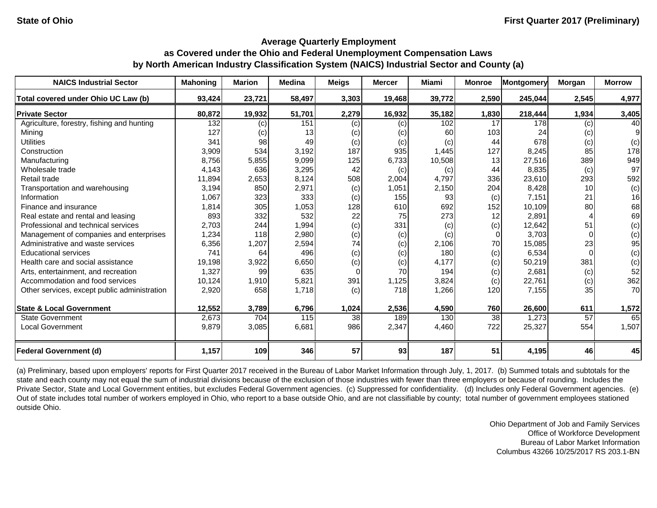| <b>NAICS Industrial Sector</b>               | <b>Mahoning</b> | <b>Marion</b> | <b>Medina</b> | <b>Meigs</b> | <b>Mercer</b> | <b>Miami</b> | <b>Monroe</b> | <b>Montgomery</b> | Morgan | <b>Morrow</b> |
|----------------------------------------------|-----------------|---------------|---------------|--------------|---------------|--------------|---------------|-------------------|--------|---------------|
| Total covered under Ohio UC Law (b)          | 93,424          | 23,721        | 58,497        | 3,303        | 19,468        | 39,772       | 2,590         | 245,044           | 2,545  | 4,977         |
| <b>Private Sector</b>                        | 80,872          | 19,932        | 51,701        | 2,279        | 16,932        | 35,182       | 1,830         | 218,444           | 1,934  | 3,405         |
| Agriculture, forestry, fishing and hunting   | 132             | (c)           | 151           | (c)          | (c)           | 102          | 17            | 178               | (c)    | 40            |
| Mining                                       | 127             | (c)           | 13            | (c)          | (c)           | 60           | 103           | 24                | (c)    | 9             |
| <b>Utilities</b>                             | 341             | 98            | 49            | (c)          | (c)           | (c)          | 44            | 678               | (c)    | (c)           |
| Construction                                 | 3,909           | 534           | 3,192         | 187          | 935           | 1,445        | 127           | 8,245             | 85     | 178           |
| Manufacturing                                | 8,756           | 5,855         | 9,099         | 125          | 6,733         | 10,508       | 13            | 27,516            | 389    | 949           |
| Wholesale trade                              | 4,143           | 636           | 3,295         | 42           | (c)           | (c)          | 44            | 8,835             | (c)    | 97            |
| Retail trade                                 | 11,894          | 2,653         | 8,124         | 508          | 2,004         | 4,797        | 336           | 23,610            | 293    | 592           |
| Transportation and warehousing               | 3,194           | 850           | 2,971         | (c)          | 1,051         | 2,150        | 204           | 8,428             | 10     | (c)           |
| Information                                  | 1,067           | 323           | 333           | (c)          | 155           | 93           | (c)           | 7,151             | 21     | 16            |
| Finance and insurance                        | 1,814           | 305           | 1,053         | 128          | 610           | 692          | 152           | 10,109            | 80     | 68            |
| Real estate and rental and leasing           | 893             | 332           | 532           | 22           | 75            | 273          | 12            | 2,891             |        | 69            |
| Professional and technical services          | 2,703           | 244           | 1,994         | (c)          | 331           | (c)          | (c)           | 12,642            | 51     | (c)           |
| Management of companies and enterprises      | 1,234           | 118           | 2,980         | (c)          | (c)           | (c)          | $\Omega$      | 3,703             |        | (c)           |
| Administrative and waste services            | 6,356           | 1,207         | 2,594         | 74           | (c)           | 2,106        | 70            | 15,085            | 23     | 95            |
| <b>Educational services</b>                  | 741             | 64            | 496           | (c)          | (c)           | 180          | (c)           | 6,534             |        | (c)           |
| Health care and social assistance            | 19,198          | 3,922         | 6,650         | (c)          | (c)           | 4,177        | (c)           | 50,219            | 381    | (c)           |
| Arts, entertainment, and recreation          | 1,327           | 99            | 635           | $\Omega$     | 70            | 194          | (c)           | 2,681             | (c)    | 52            |
| Accommodation and food services              | 10,124          | 1,910         | 5,821         | 391          | 1,125         | 3,824        | (c)           | 22,761            | (c)    | 362           |
| Other services, except public administration | 2,920           | 658           | 1,718         | (c)          | 718           | 1,266        | 120           | 7,155             | 35     | 70            |
| <b>State &amp; Local Government</b>          | 12,552          | 3,789         | 6,796         | 1,024        | 2,536         | 4,590        | 760           | 26,600            | 611    | 1,572         |
| <b>State Government</b>                      | 2,673           | 704           | 115           | 38           | 189           | 130          | 38            | 1,273             | 57     | 65            |
| <b>Local Government</b>                      | 9,879           | 3,085         | 6,681         | 986          | 2,347         | 4,460        | 722           | 25,327            | 554    | 1,507         |
| <b>Federal Government (d)</b>                | 1,157           | 109           | 346           | 57           | 93            | 187          | 51            | 4,195             | 46     | 45            |

(a) Preliminary, based upon employers' reports for First Quarter 2017 received in the Bureau of Labor Market Information through July, 1, 2017. (b) Summed totals and subtotals for the state and each county may not equal the sum of industrial divisions because of the exclusion of those industries with fewer than three employers or because of rounding. Includes the Private Sector, State and Local Government entities, but excludes Federal Government agencies. (c) Suppressed for confidentiality. (d) Includes only Federal Government agencies. (e) Out of state includes total number of workers employed in Ohio, who report to a base outside Ohio, and are not classifiable by county; total number of government employees stationed outside Ohio.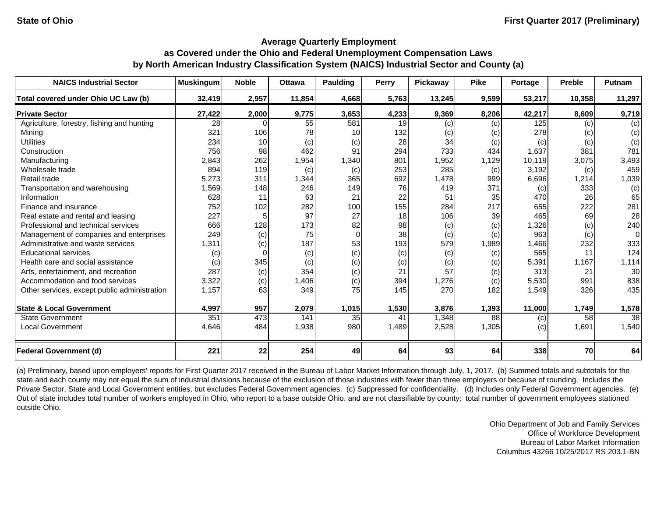| <b>NAICS Industrial Sector</b>               | <b>Muskingum</b>           | <b>Noble</b> | <b>Ottawa</b> | <b>Paulding</b> | <b>Perry</b> | <b>Pickaway</b> | <b>Pike</b> | Portage | <b>Preble</b> | Putnam   |
|----------------------------------------------|----------------------------|--------------|---------------|-----------------|--------------|-----------------|-------------|---------|---------------|----------|
| Total covered under Ohio UC Law (b)          | 32,419                     | 2,957        | 11,854        | 4,668           | 5,763        | 13,245          | 9,599       | 53,217  | 10,358        | 11,297   |
| <b>Private Sector</b>                        | 27,422                     | 2,000        | 9,775         | 3,653           | 4,233        | 9,369           | 8,206       | 42,217  | 8,609         | 9,719    |
| Agriculture, forestry, fishing and hunting   | 28                         |              | 55            | 581             | 19           | (c)             | (c)         | 125     | (c)           | (c)      |
| Mining                                       | 321                        | 106          | 78            | 10              | 132          | (c)             | (c)         | 278     | (c)           | (c)      |
| <b>Utilities</b>                             | 234                        | 10           | (c)           | (c)             | 28           | 34              | (c)         | (c)     | (c)           | (c)      |
| Construction                                 | 756                        | 98           | 462           | 91              | 294          | 733             | 434         | 1,637   | 381           | 781      |
| Manufacturing                                | 2,843                      | 262          | 1,954         | 1,340           | 801          | 1,952           | 1,129       | 10,119  | 3,075         | 3,493    |
| Wholesale trade                              | 894                        | 119          | (c)           | (c)             | 253          | 285             | (c)         | 3,192   | (c)           | 459      |
| Retail trade                                 | 5,273                      | 311          | 1,344         | 365             | 692          | 1,478           | 999         | 6,696   | 1,214         | 1,039    |
| Transportation and warehousing               | 1,569                      | 148          | 246           | 149             | 76           | 419             | 371         | (c)     | 333           | (c)      |
| Information                                  | 628                        | 11           | 63            | 21              | 22           | 51              | 35          | 470     | 26            | 65       |
| Finance and insurance                        | 752                        | 102          | 282           | 100             | 155          | 284             | 217         | 655     | 222           | 281      |
| Real estate and rental and leasing           | 227                        |              | 97            | 27              | 18           | 106             | 39          | 465     | 69            | 28       |
| Professional and technical services          | 666                        | 128          | 173           | 82              | 98           | (c)             | (c)         | 1,326   | (c)           | 240      |
| Management of companies and enterprises      | 249                        | (c)          | 75            | 0               | 38           | (c)             | (c)         | 963     | (c)           | $\Omega$ |
| Administrative and waste services            | 1,311                      | (c)          | 187           | 53              | 193          | 579             | ,989        | 1,466   | 232           | 333      |
| <b>Educational services</b>                  | $\left( \mathrm{c}\right)$ |              | (c)           | (c)             | (c)          | (c)             | (c)         | 565     | 11            | 124      |
| Health care and social assistance            | (c)                        | 345          | (c)           | (c)             | (c)          | (c)             | (c)         | 5,391   | 1,167         | 1,114    |
| Arts, entertainment, and recreation          | 287                        | (c)          | 354           | (c)             | 21           | 57              | (c)         | 313     | 21            | 30       |
| Accommodation and food services              | 3,322                      | (c)          | 1,406         | (c)             | 394          | 1,276           | (c)         | 5,530   | 991           | 838      |
| Other services, except public administration | 1,157                      | 63           | 349           | 75              | 145          | 270             | 182         | 1,549   | 326           | 435      |
| <b>State &amp; Local Government</b>          | 4,997                      | 957          | 2,079         | 1,015           | 1,530        | 3,876           | 1,393       | 11,000  | 1,749         | 1,578    |
| <b>State Government</b>                      | 351                        | 473          | 141           | 35              | 41           | 1,348           | 88          | (c)     | 58            | 38       |
| <b>Local Government</b>                      | 4,646                      | 484          | 1,938         | 980             | 1,489        | 2,528           | 1,305       | (c)     | 1,691         | 1,540    |
| <b>Federal Government (d)</b>                | 221                        | 22           | 254           | 49              | 64           | 93              | 64          | 338     | 70            | 64       |

(a) Preliminary, based upon employers' reports for First Quarter 2017 received in the Bureau of Labor Market Information through July, 1, 2017. (b) Summed totals and subtotals for the state and each county may not equal the sum of industrial divisions because of the exclusion of those industries with fewer than three employers or because of rounding. Includes the Private Sector, State and Local Government entities, but excludes Federal Government agencies. (c) Suppressed for confidentiality. (d) Includes only Federal Government agencies. (e) Out of state includes total number of workers employed in Ohio, who report to a base outside Ohio, and are not classifiable by county; total number of government employees stationed outside Ohio.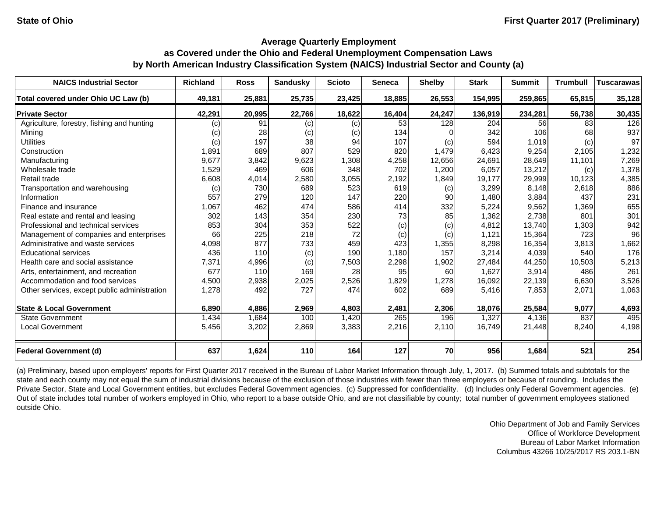| <b>NAICS Industrial Sector</b>               | <b>Richland</b> | <b>Ross</b> | <b>Sandusky</b> | <b>Scioto</b> | <b>Seneca</b> | <b>Shelby</b> | <b>Stark</b> | <b>Summit</b> | <b>Trumbull</b> | <b>Tuscarawas</b> |
|----------------------------------------------|-----------------|-------------|-----------------|---------------|---------------|---------------|--------------|---------------|-----------------|-------------------|
| Total covered under Ohio UC Law (b)          | 49,181          | 25,881      | 25,735          | 23,425        | 18,885        | 26,553        | 154,995      | 259,865       | 65,815          | 35,128            |
| <b>Private Sector</b>                        | 42,291          | 20,995      | 22,766          | 18,622        | 16,404        | 24,247        | 136,919      | 234,281       | 56,738          | 30,435            |
| Agriculture, forestry, fishing and hunting   | (c)             | 91          | (c)             | (c)           | 53            | 128           | 204          | 56            | 83              | 126               |
| Mining                                       | (c)             | 28          | (c)             | (c)           | 134           |               | 342          | 106           | 68              | 937               |
| <b>Utilities</b>                             | (c)             | 197         | 38              | 94            | 107           | (c)           | 594          | 1,019         | (c)             | 97                |
| Construction                                 | 1,891           | 689         | 807             | 529           | 820           | 1,479         | 6,423        | 9,254         | 2,105           | 1,232             |
| Manufacturing                                | 9,677           | 3,842       | 9,623           | 1,308         | 4,258         | 12,656        | 24,691       | 28,649        | 11,101          | 7,269             |
| Wholesale trade                              | 1,529           | 469         | 606             | 348           | 702           | 1,200         | 6,057        | 13,212        | (c)             | 1,378             |
| Retail trade                                 | 6,608           | 4,014       | 2,580           | 3,055         | 2,192         | 1,849         | 19,177       | 29,999        | 10,123          | 4,385             |
| Transportation and warehousing               | (c)             | 730         | 689             | 523           | 619           | (c)           | 3,299        | 8,148         | 2,618           | 886               |
| Information                                  | 557             | 279         | 120             | 147           | 220           | 90            | 1,480        | 3,884         | 437             | 231               |
| Finance and insurance                        | 1,067           | 462         | 474             | 586           | 414           | 332           | 5,224        | 9,562         | 1,369           | 655               |
| Real estate and rental and leasing           | 302             | 143         | 354             | 230           | 73            | 85            | 1,362        | 2,738         | 801             | 301               |
| Professional and technical services          | 853             | 304         | 353             | 522           | (c)           | (c)           | 4,812        | 13,740        | 1,303           | 942               |
| Management of companies and enterprises      | 66              | 225         | 218             | 72            | (c)           | (c)           | 1,121        | 15,364        | 723             | 96                |
| Administrative and waste services            | 4,098           | 877         | 733             | 459           | 423           | 1,355         | 8,298        | 16,354        | 3,813           | 1,662             |
| <b>Educational services</b>                  | 436             | 110         | (c)             | 190           | 1,180         | 157           | 3,214        | 4,039         | 540             | 176               |
| Health care and social assistance            | 7,371           | 4,996       | (c)             | 7,503         | 2,298         | 1,902         | 27,484       | 44,250        | 10,503          | 5,213             |
| Arts, entertainment, and recreation          | 677             | 110         | 169             | 28            | 95            | 60            | 1,627        | 3,914         | 486             | 261               |
| Accommodation and food services              | 4,500           | 2,938       | 2,025           | 2,526         | 1,829         | 1,278         | 16,092       | 22,139        | 6,630           | 3,526             |
| Other services, except public administration | 1,278           | 492         | 727             | 474           | 602           | 689           | 5,416        | 7,853         | 2,071           | 1,063             |
| <b>State &amp; Local Government</b>          | 6,890           | 4,886       | 2,969           | 4,803         | 2,481         | 2,306         | 18,076       | 25,584        | 9,077           | 4,693             |
| <b>State Government</b>                      | 1,434           | 1,684       | 100             | 1,420         | 265           | 196           | 1,327        | 4,136         | 837             | 495               |
| <b>Local Government</b>                      | 5,456           | 3,202       | 2,869           | 3,383         | 2,216         | 2,110         | 16,749       | 21,448        | 8,240           | 4,198             |
| <b>Federal Government (d)</b>                | 637             | 1,624       | 110             | 164           | 127           | 70            | 956          | 1,684         | 521             | 254               |

(a) Preliminary, based upon employers' reports for First Quarter 2017 received in the Bureau of Labor Market Information through July, 1, 2017. (b) Summed totals and subtotals for the state and each county may not equal the sum of industrial divisions because of the exclusion of those industries with fewer than three employers or because of rounding. Includes the Private Sector, State and Local Government entities, but excludes Federal Government agencies. (c) Suppressed for confidentiality. (d) Includes only Federal Government agencies. (e) Out of state includes total number of workers employed in Ohio, who report to a base outside Ohio, and are not classifiable by county; total number of government employees stationed outside Ohio.